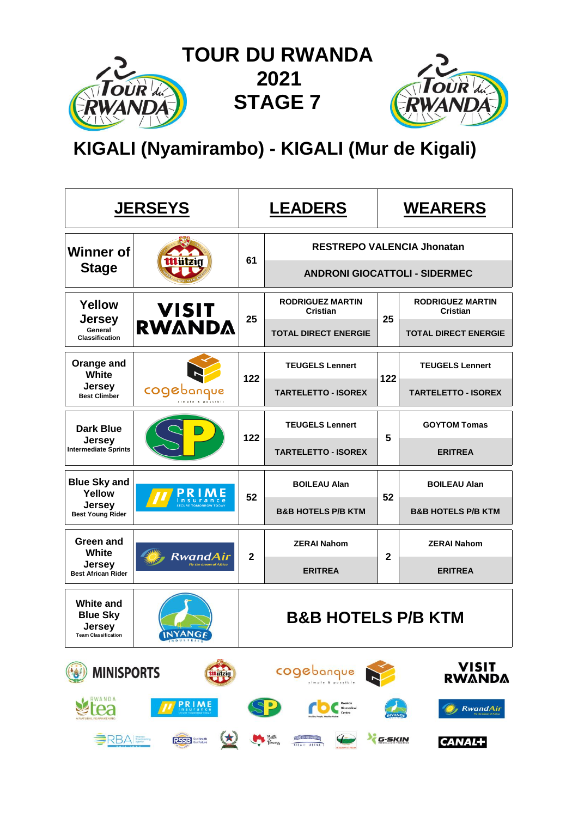

 **TOUR DU RWANDA STAGE 7**



# **KIGALI (Nyamirambo) - KIGALI (Mur de Kigali)**

|                                                                             | <u>JERSEYS</u>                             | <u>LEADERS</u> |                                            | <b>WEARERS</b>                    |                                            |  |  |
|-----------------------------------------------------------------------------|--------------------------------------------|----------------|--------------------------------------------|-----------------------------------|--------------------------------------------|--|--|
| <b>Winner of</b>                                                            |                                            | 61             |                                            | <b>RESTREPO VALENCIA Jhonatan</b> |                                            |  |  |
| <b>Stage</b>                                                                |                                            |                | <b>ANDRONI GIOCATTOLI - SIDERMEC</b>       |                                   |                                            |  |  |
| <b>Yellow</b><br><b>Jersey</b>                                              | <b>VISIT<br/>RWANDA</b>                    | 25             | <b>RODRIGUEZ MARTIN</b><br><b>Cristian</b> | 25                                | <b>RODRIGUEZ MARTIN</b><br><b>Cristian</b> |  |  |
| General<br><b>Classification</b>                                            |                                            |                | <b>TOTAL DIRECT ENERGIE</b>                |                                   | <b>TOTAL DIRECT ENERGIE</b>                |  |  |
| Orange and<br>White                                                         |                                            | 122            | <b>TEUGELS Lennert</b>                     | 122                               | <b>TEUGELS Lennert</b>                     |  |  |
| <b>Jersey</b><br><b>Best Climber</b>                                        | cogebang                                   |                | <b>TARTELETTO - ISOREX</b>                 |                                   | <b>TARTELETTO - ISOREX</b>                 |  |  |
| <b>Dark Blue</b>                                                            |                                            |                | <b>TEUGELS Lennert</b>                     |                                   | <b>GOYTOM Tomas</b>                        |  |  |
| Jersey<br>Intermediate Sprints                                              |                                            | 122            | <b>TARTELETTO - ISOREX</b>                 | 5                                 | <b>ERITREA</b>                             |  |  |
| <b>Blue Sky and</b><br>Yellow                                               |                                            |                | <b>BOILEAU Alan</b>                        |                                   | <b>BOILEAU Alan</b>                        |  |  |
| <b>Jersey</b><br><b>Best Young Rider</b>                                    |                                            | 52             | <b>B&amp;B HOTELS P/B KTM</b>              | 52                                | <b>B&amp;B HOTELS P/B KTM</b>              |  |  |
| Green and<br><b>White</b>                                                   |                                            |                | <b>ZERAI Nahom</b>                         |                                   | <b>ZERAI Nahom</b>                         |  |  |
| <b>Jersey</b><br><b>Best African Rider</b>                                  | RwandAir<br><b>Fly the dream of Africa</b> | $\mathbf{2}$   | <b>ERITREA</b>                             | 2                                 | <b>ERITREA</b>                             |  |  |
| <b>White and</b><br><b>Blue Sky</b><br>Jersey<br><b>Team Classification</b> | <b>INYANGE</b>                             |                | <b>B&amp;B HOTELS P/B KTM</b>              |                                   |                                            |  |  |
| <b>MINISPORTS</b>                                                           | tttützig                                   |                | cogebanque                                 |                                   | VISIT<br><b>RWANDA</b>                     |  |  |
| RWANDA                                                                      | <b>PRIME</b>                               |                |                                            |                                   | <b>RwandAir</b>                            |  |  |
| SRBA Brookoung                                                              | RSSB <b>Bur Health</b>                     |                | Bella<br>Thewers                           | G-SKIN                            | <b>CANAL+</b>                              |  |  |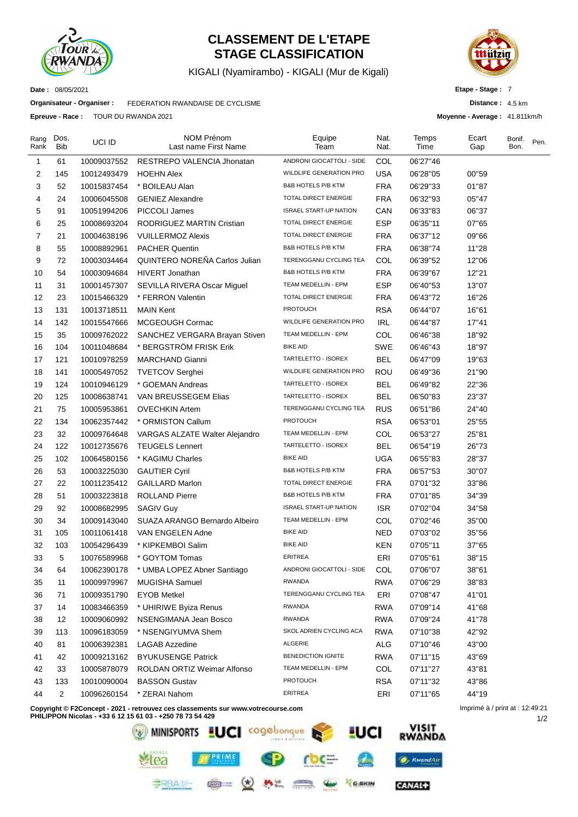

### **CLASSEMENT DE L'ETAPE STAGE CLASSIFICATION**

KIGALI (Nyamirambo) - KIGALI (Mur de Kigali)



**Distance :** 4.5 km **Moyenne - Average :** 41.811km/h

**Etape - Stage :** 7

**Date :** 08/05/2021

**Organisateur - Organiser :** FEDERATION RWANDAISE DE CYCLISME

**Epreuve - Race :** TOUR DU RWANDA 2021

| Rang<br>Rank   | Dos.<br>Bib    | UCI ID      | NOM Prénom<br>Last name First Name | Equipe<br>Team                 | Nat.<br>Nat. | Temps<br>Time | Ecart<br>Gap | Bonif.<br>Bon. | Pen. |
|----------------|----------------|-------------|------------------------------------|--------------------------------|--------------|---------------|--------------|----------------|------|
| $\mathbf{1}$   | 61             | 10009037552 | RESTREPO VALENCIA Jhonatan         | ANDRONI GIOCATTOLI - SIDE      | COL          | 06'27"46      |              |                |      |
| $\overline{2}$ | 145            | 10012493479 | <b>HOEHN Alex</b>                  | WILDLIFE GENERATION PRO        | USA          | 06'28"05      | 00"59        |                |      |
| 3              | 52             | 10015837454 | * BOILEAU Alan                     | <b>B&amp;B HOTELS P/B KTM</b>  | <b>FRA</b>   | 06'29"33      | 01"87        |                |      |
| 4              | 24             | 10006045508 | <b>GENIEZ Alexandre</b>            | TOTAL DIRECT ENERGIE           | <b>FRA</b>   | 06'32"93      | 05"47        |                |      |
| 5              | 91             | 10051994206 | PICCOLI James                      | <b>ISRAEL START-UP NATION</b>  | CAN          | 06'33"83      | 06"37        |                |      |
| 6              | 25             | 10008693204 | RODRIGUEZ MARTIN Cristian          | TOTAL DIRECT ENERGIE           | <b>ESP</b>   | 06'35"11      | 07"65        |                |      |
| 7              | 21             | 10004638196 | <b>VUILLERMOZ Alexis</b>           | TOTAL DIRECT ENERGIE           | <b>FRA</b>   | 06'37"12      | 09"66        |                |      |
| 8              | 55             | 10008892961 | <b>PACHER Quentin</b>              | <b>B&amp;B HOTELS P/B KTM</b>  | <b>FRA</b>   | 06'38"74      | 11"28        |                |      |
| 9              | 72             | 10003034464 | QUINTERO NOREÑA Carlos Julian      | TERENGGANU CYCLING TEA         | COL          | 06'39"52      | 12"06        |                |      |
| 10             | 54             | 10003094684 | <b>HIVERT Jonathan</b>             | <b>B&amp;B HOTELS P/B KTM</b>  | <b>FRA</b>   | 06'39"67      | 12"21        |                |      |
| 11             | 31             | 10001457307 | SEVILLA RIVERA Oscar Miguel        | TEAM MEDELLIN - EPM            | <b>ESP</b>   | 06'40"53      | 13"07        |                |      |
| 12             | 23             | 10015466329 | * FERRON Valentin                  | TOTAL DIRECT ENERGIE           | <b>FRA</b>   | 06'43"72      | 16"26        |                |      |
| 13             | 131            | 10013718511 | <b>MAIN Kent</b>                   | <b>PROTOUCH</b>                | <b>RSA</b>   | 06'44"07      | 16"61        |                |      |
| 14             | 142            | 10015547666 | MCGEOUGH Cormac                    | <b>WILDLIFE GENERATION PRO</b> | <b>IRL</b>   | 06'44"87      | 17"41        |                |      |
| 15             | 35             | 10009762022 | SANCHEZ VERGARA Brayan Stiven      | TEAM MEDELLIN - EPM            | COL          | 06'46"38      | 18"92        |                |      |
| 16             | 104            | 10011048684 | * BERGSTRÖM FRISK Erik             | <b>BIKE AID</b>                | <b>SWE</b>   | 06'46"43      | 18"97        |                |      |
| 17             | 121            | 10010978259 | <b>MARCHAND Gianni</b>             | TARTELETTO - ISOREX            | BEL          | 06'47"09      | 19"63        |                |      |
| 18             | 141            | 10005497052 | <b>TVETCOV Serghei</b>             | <b>WILDLIFE GENERATION PRO</b> | ROU          | 06'49"36      | 21"90        |                |      |
| 19             | 124            | 10010946129 | * GOEMAN Andreas                   | TARTELETTO - ISOREX            | <b>BEL</b>   | 06'49"82      | 22"36        |                |      |
| 20             | 125            | 10008638741 | VAN BREUSSEGEM Elias               | TARTELETTO - ISOREX            | <b>BEL</b>   | 06'50"83      | 23"37        |                |      |
| 21             | 75             | 10005953861 | <b>OVECHKIN Artem</b>              | TERENGGANU CYCLING TEA         | <b>RUS</b>   | 06'51"86      | 24"40        |                |      |
| 22             | 134            | 10062357442 | * ORMISTON Callum                  | <b>PROTOUCH</b>                | <b>RSA</b>   | 06'53"01      | 25"55        |                |      |
| 23             | 32             | 10009764648 | VARGAS ALZATE Walter Alejandro     | TEAM MEDELLIN - EPM            | COL          | 06'53"27      | 25"81        |                |      |
| 24             | 122            | 10012735676 | <b>TEUGELS Lennert</b>             | TARTELETTO - ISOREX            | <b>BEL</b>   | 06'54"19      | 26"73        |                |      |
| 25             | 102            | 10064580156 | * KAGIMU Charles                   | <b>BIKE AID</b>                | <b>UGA</b>   | 06'55"83      | 28"37        |                |      |
| 26             | 53             | 10003225030 | <b>GAUTIER Cyril</b>               | <b>B&amp;B HOTELS P/B KTM</b>  | <b>FRA</b>   | 06'57"53      | 30"07        |                |      |
| 27             | 22             | 10011235412 | <b>GAILLARD Marlon</b>             | TOTAL DIRECT ENERGIE           | <b>FRA</b>   | 07'01"32      | 33"86        |                |      |
| 28             | 51             | 10003223818 | <b>ROLLAND Pierre</b>              | <b>B&amp;B HOTELS P/B KTM</b>  | <b>FRA</b>   | 07'01"85      | 34"39        |                |      |
| 29             | 92             | 10008682995 | <b>SAGIV Guy</b>                   | <b>ISRAEL START-UP NATION</b>  | <b>ISR</b>   | 07'02"04      | 34"58        |                |      |
| 30             | 34             | 10009143040 | SUAZA ARANGO Bernardo Albeiro      | TEAM MEDELLIN - EPM            | COL          | 07'02"46      | 35"00        |                |      |
| 31             | 105            | 10011061418 | VAN ENGELEN Adne                   | <b>BIKE AID</b>                | <b>NED</b>   | 07'03"02      | 35"56        |                |      |
| 32             | 103            | 10054296439 | * KIPKEMBOI Salim                  | <b>BIKE AID</b>                | <b>KEN</b>   | 07'05"11      | 37"65        |                |      |
| 33             | 5              | 10076589968 | * GOYTOM Tomas                     | <b>ERITREA</b>                 | ERI          | 07'05"61      | 38"15        |                |      |
| 34             | 64             | 10062390178 | * UMBA LOPEZ Abner Santiago        | ANDRONI GIOCATTOLI - SIDE      | COL          | 07'06"07      | 38"61        |                |      |
| 35             | 11             | 10009979967 | MUGISHA Samuel                     | <b>RWANDA</b>                  | <b>RWA</b>   | 07'06"29      | 38"83        |                |      |
| 36             | 71             | 10009351790 | <b>EYOB Metkel</b>                 | TERENGGANU CYCLING TEA         | ERI          | 07'08"47      | 41"01        |                |      |
| 37             | 14             | 10083466359 | * UHIRIWE Byiza Renus              | <b>RWANDA</b>                  | <b>RWA</b>   | 07'09"14      | 41"68        |                |      |
| 38             | 12             | 10009060992 | NSENGIMANA Jean Bosco              | <b>RWANDA</b>                  | <b>RWA</b>   | 07'09"24      | 41"78        |                |      |
| 39             | 113            | 10096183059 | * NSENGIYUMVA Shem                 | SKOL ADRIEN CYCLING ACA        | <b>RWA</b>   | 07'10"38      | 42"92        |                |      |
| 40             | 81             | 10006392381 | <b>LAGAB Azzedine</b>              | ALGERIE                        | ALG          | 07'10"46      | 43"00        |                |      |
| 41             | 42             | 10009213162 | <b>BYUKUSENGE Patrick</b>          | BENEDICTION IGNITE             | <b>RWA</b>   | 07'11"15      | 43"69        |                |      |
| 42             | 33             | 10005878079 | ROLDAN ORTIZ Weimar Alfonso        | TEAM MEDELLIN - EPM            | COL          | 07'11"27      | 43"81        |                |      |
| 43             | 133            | 10010090004 | <b>BASSON Gustav</b>               | <b>PROTOUCH</b>                | <b>RSA</b>   | 07'11"32      | 43"86        |                |      |
| 44             | $\overline{c}$ | 10096260154 | * ZERAI Nahom                      | ERITREA                        | ERI          | 07'11"65      | 44"19        |                |      |
|                |                |             |                                    |                                |              |               |              |                |      |

**Copyright © F2Concept - 2021 - retrouvez ces classements sur www.votrecourse.com**



Imprimé à / print at : 12:49:21

1/2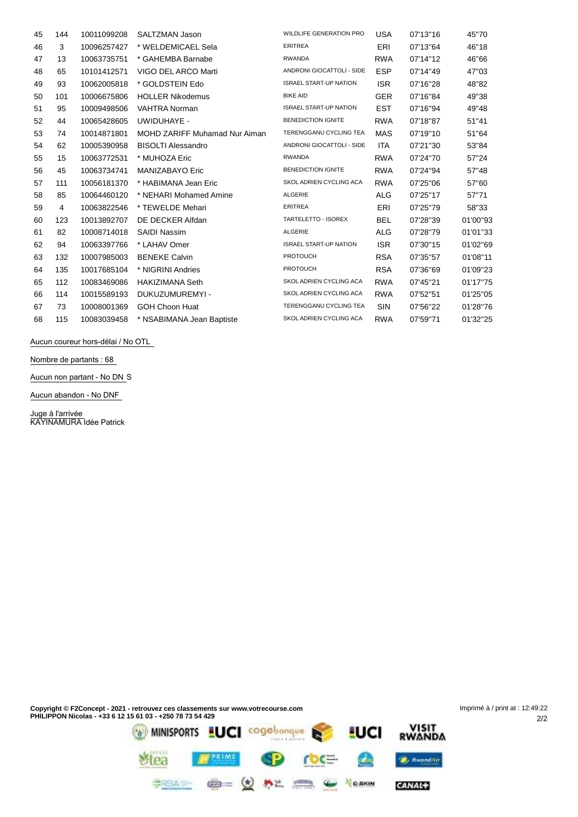| 45 | 144 | 10011099208 | SALTZMAN Jason                | <b>WILDLIFE GENERATION PRO</b> | <b>USA</b> | 07'13"16 | 45"70    |
|----|-----|-------------|-------------------------------|--------------------------------|------------|----------|----------|
| 46 | 3   | 10096257427 | * WELDEMICAEL Sela            | <b>ERITREA</b>                 | ERI        | 07'13"64 | 46"18    |
| 47 | 13  | 10063735751 | * GAHEMBA Barnabe             | <b>RWANDA</b>                  | <b>RWA</b> | 07'14"12 | 46"66    |
| 48 | 65  | 10101412571 | VIGO DEL ARCO Marti           | ANDRONI GIOCATTOLI - SIDE      | <b>ESP</b> | 07'14"49 | 47"03    |
| 49 | 93  | 10062005818 | * GOLDSTEIN Edo               | <b>ISRAEL START-UP NATION</b>  | <b>ISR</b> | 07'16"28 | 48"82    |
| 50 | 101 | 10006675806 | <b>HOLLER Nikodemus</b>       | <b>BIKE AID</b>                | <b>GER</b> | 07'16"84 | 49"38    |
| 51 | 95  | 10009498506 | <b>VAHTRA Norman</b>          | <b>ISRAEL START-UP NATION</b>  | <b>EST</b> | 07'16"94 | 49"48    |
| 52 | 44  | 10065428605 | UWIDUHAYE -                   | <b>BENEDICTION IGNITE</b>      | <b>RWA</b> | 07'18"87 | 51"41    |
| 53 | 74  | 10014871801 | MOHD ZARIFF Muhamad Nur Aiman | TERENGGANU CYCLING TEA         | <b>MAS</b> | 07'19"10 | 51"64    |
| 54 | 62  | 10005390958 | <b>BISOLTI Alessandro</b>     | ANDRONI GIOCATTOLI - SIDE      | ITA        | 07'21"30 | 53"84    |
| 55 | 15  | 10063772531 | * MUHOZA Eric                 | <b>RWANDA</b>                  | <b>RWA</b> | 07'24"70 | 57"24    |
| 56 | 45  | 10063734741 | <b>MANIZABAYO Eric</b>        | <b>BENEDICTION IGNITE</b>      | <b>RWA</b> | 07'24"94 | 57"48    |
| 57 | 111 | 10056181370 | * HABIMANA Jean Eric          | SKOL ADRIEN CYCLING ACA        | <b>RWA</b> | 07'25"06 | 57"60    |
| 58 | 85  | 10064460120 | * NEHARI Mohamed Amine        | ALGERIE                        | <b>ALG</b> | 07'25"17 | 57"71    |
| 59 | 4   | 10063822546 | * TEWELDE Mehari              | <b>ERITREA</b>                 | ERI        | 07'25"79 | 58"33    |
| 60 | 123 | 10013892707 | DE DECKER Alfdan              | TARTELETTO - ISOREX            | <b>BEL</b> | 07'28"39 | 01'00"93 |
| 61 | 82  | 10008714018 | <b>SAIDI Nassim</b>           | ALGERIE                        | ALG        | 07'28"79 | 01'01"33 |
| 62 | 94  | 10063397766 | * LAHAV Omer                  | <b>ISRAEL START-UP NATION</b>  | <b>ISR</b> | 07'30"15 | 01'02"69 |
| 63 | 132 | 10007985003 | <b>BENEKE Calvin</b>          | <b>PROTOUCH</b>                | <b>RSA</b> | 07'35"57 | 01'08"11 |
| 64 | 135 | 10017685104 | * NIGRINI Andries             | <b>PROTOUCH</b>                | <b>RSA</b> | 07'36"69 | 01'09"23 |
| 65 | 112 | 10083469086 | <b>HAKIZIMANA Seth</b>        | SKOL ADRIEN CYCLING ACA        | <b>RWA</b> | 07'45"21 | 01'17"75 |
| 66 | 114 | 10015589193 | DUKUZUMUREMYI -               | SKOL ADRIEN CYCLING ACA        | <b>RWA</b> | 07'52"51 | 01'25"05 |
| 67 | 73  | 10008001369 | <b>GOH Choon Huat</b>         | TERENGGANU CYCLING TEA         | SIN        | 07'56"22 | 01'28"76 |
| 68 | 115 | 10083039458 | * NSABIMANA Jean Baptiste     | SKOL ADRIEN CYCLING ACA        | <b>RWA</b> | 07'59"71 | 01'32"25 |

**Aucun coureur hors-délai / No OTL**

**Nombre de partants : 68**

**Aucun non partant - No DN** S

**Aucun abandon - No DNF**

**Juge à l'arrivée** KAYINAMURA Idée Patrick

**Copyright © F2Concept - 2021 - retrouvez ces classements sur www.votrecourse.com PHILIPPON Nicolas - +33 6 12 15 61 03 - +250 78 73 54 429 LUCI NISIT** MINISPORTS LUCI cogebongue

WENNE SP roce

**BRAIN @= (d) AL CO & Ream** 

tea

A

**O**, RwandAir

CANAL+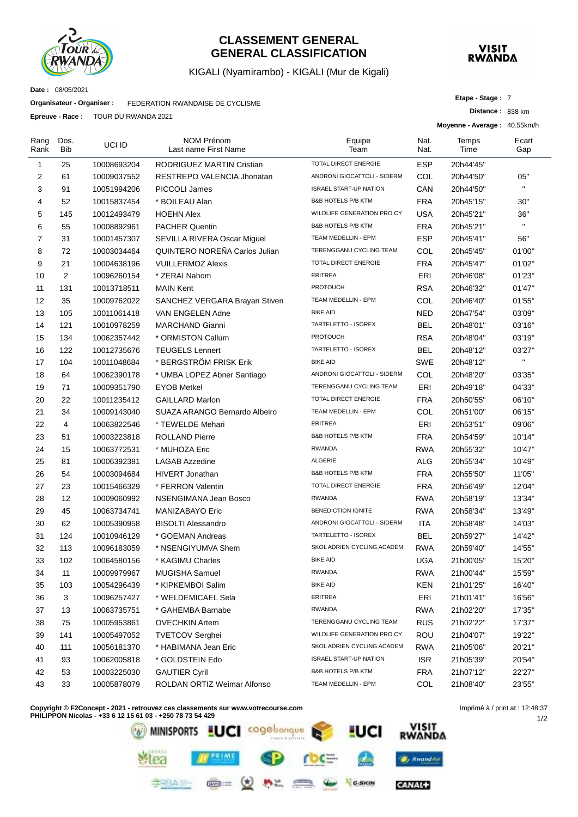

#### **CLASSEMENT GENERAL GENERAL CLASSIFICATION**

#### KIGALI (Nyamirambo) - KIGALI (Mur de Kigali)



**Distance :** 838 km

**Etape - Stage :** 7

**Date :** 08/05/2021

**Organisateur - Organiser :** FEDERATION RWANDAISE DE CYCLISME

**Epreuve - Race :** TOUR DU RWANDA 2021

|                |             |             |                                           |                               |              | Moyenne - Average: 40.55km/h |              |
|----------------|-------------|-------------|-------------------------------------------|-------------------------------|--------------|------------------------------|--------------|
| Rang<br>Rank   | Dos.<br>Bib | UCI ID      | <b>NOM Prénom</b><br>Last name First Name | Equipe<br>Team                | Nat.<br>Nat. | Temps<br>Time                | Ecart<br>Gap |
| 1              | 25          | 10008693204 | RODRIGUEZ MARTIN Cristian                 | TOTAL DIRECT ENERGIE          | <b>ESP</b>   | 20h44'45"                    |              |
| $\overline{c}$ | 61          | 10009037552 | RESTREPO VALENCIA Jhonatan                | ANDRONI GIOCATTOLI - SIDERM   | COL          | 20h44'50"                    | 05"          |
| 3              | 91          | 10051994206 | PICCOLI James                             | <b>ISRAEL START-UP NATION</b> | CAN          | 20h44'50"                    | $\mathbf{H}$ |
| 4              | 52          | 10015837454 | * BOILEAU Alan                            | <b>B&amp;B HOTELS P/B KTM</b> | <b>FRA</b>   | 20h45'15"                    | 30"          |
| 5              | 145         | 10012493479 | <b>HOEHN Alex</b>                         | WILDLIFE GENERATION PRO CY    | USA          | 20h45'21"                    | 36"          |
| 6              | 55          | 10008892961 | <b>PACHER Quentin</b>                     | <b>B&amp;B HOTELS P/B KTM</b> | <b>FRA</b>   | 20h45'21"                    | $\mathbf{H}$ |
| $\overline{7}$ | 31          | 10001457307 | SEVILLA RIVERA Oscar Miguel               | TEAM MEDELLIN - EPM           | <b>ESP</b>   | 20h45'41"                    | 56"          |
| 8              | 72          | 10003034464 | QUINTERO NOREÑA Carlos Julian             | TERENGGANU CYCLING TEAM       | COL          | 20h45'45"                    | 01'00"       |
| 9              | 21          | 10004638196 | <b>VUILLERMOZ Alexis</b>                  | <b>TOTAL DIRECT ENERGIE</b>   | <b>FRA</b>   | 20h45'47"                    | 01'02"       |
| 10             | 2           | 10096260154 | * ZERAI Nahom                             | <b>ERITREA</b>                | ERI          | 20h46'08"                    | 01'23"       |
| 11             | 131         | 10013718511 | <b>MAIN Kent</b>                          | <b>PROTOUCH</b>               | <b>RSA</b>   | 20h46'32"                    | 01'47"       |
| 12             | 35          | 10009762022 | SANCHEZ VERGARA Brayan Stiven             | TEAM MEDELLIN - EPM           | COL          | 20h46'40"                    | 01'55"       |
| 13             | 105         | 10011061418 | VAN ENGELEN Adne                          | <b>BIKE AID</b>               | NED          | 20h47'54"                    | 03'09"       |
| 14             | 121         | 10010978259 | <b>MARCHAND Gianni</b>                    | TARTELETTO - ISOREX           | <b>BEL</b>   | 20h48'01"                    | 03'16"       |
| 15             | 134         | 10062357442 | * ORMISTON Callum                         | <b>PROTOUCH</b>               | <b>RSA</b>   | 20h48'04"                    | 03'19"       |
| 16             | 122         | 10012735676 | <b>TEUGELS Lennert</b>                    | TARTELETTO - ISOREX           | <b>BEL</b>   | 20h48'12"                    | 03'27"       |
| 17             | 104         | 10011048684 | * BERGSTRÖM FRISK Erik                    | <b>BIKE AID</b>               | SWE          | 20h48'12"                    | $\mathbf{H}$ |
| 18             | 64          | 10062390178 | * UMBA LOPEZ Abner Santiago               | ANDRONI GIOCATTOLI - SIDERM   | COL          | 20h48'20"                    | 03'35"       |
| 19             | 71          | 10009351790 | <b>EYOB Metkel</b>                        | TERENGGANU CYCLING TEAM       | ERI          | 20h49'18"                    | 04'33"       |
| 20             | 22          | 10011235412 | <b>GAILLARD Marlon</b>                    | <b>TOTAL DIRECT ENERGIE</b>   | <b>FRA</b>   | 20h50'55"                    | 06'10"       |
| 21             | 34          | 10009143040 | SUAZA ARANGO Bernardo Albeiro             | TEAM MEDELLIN - EPM           | COL          | 20h51'00"                    | 06'15"       |
| 22             | 4           | 10063822546 | * TEWELDE Mehari                          | <b>ERITREA</b>                | ERI          | 20h53'51"                    | 09'06"       |
| 23             | 51          | 10003223818 | <b>ROLLAND Pierre</b>                     | <b>B&amp;B HOTELS P/B KTM</b> | <b>FRA</b>   | 20h54'59"                    | 10'14"       |
| 24             | 15          | 10063772531 | * MUHOZA Eric                             | <b>RWANDA</b>                 | <b>RWA</b>   | 20h55'32"                    | 10'47"       |
| 25             | 81          | 10006392381 | <b>LAGAB Azzedine</b>                     | <b>ALGERIE</b>                | ALG          | 20h55'34"                    | 10'49"       |
| 26             | 54          | 10003094684 | <b>HIVERT Jonathan</b>                    | <b>B&amp;B HOTELS P/B KTM</b> | <b>FRA</b>   | 20h55'50"                    | 11'05"       |
| 27             | 23          | 10015466329 | * FERRON Valentin                         | TOTAL DIRECT ENERGIE          | <b>FRA</b>   | 20h56'49"                    | 12'04"       |
| 28             | 12          | 10009060992 | <b>NSENGIMANA Jean Bosco</b>              | <b>RWANDA</b>                 | <b>RWA</b>   | 20h58'19"                    | 13'34"       |
| 29             | 45          | 10063734741 | MANIZABAYO Eric                           | <b>BENEDICTION IGNITE</b>     | <b>RWA</b>   | 20h58'34"                    | 13'49"       |
| 30             | 62          | 10005390958 | <b>BISOLTI Alessandro</b>                 | ANDRONI GIOCATTOLI - SIDERM   | ITA          | 20h58'48"                    | 14'03"       |
| 31             | 124         | 10010946129 | * GOEMAN Andreas                          | TARTELETTO - ISOREX           | <b>BEL</b>   | 20h59'27"                    | 14'42"       |
| 32             | 113         | 10096183059 | * NSENGIYUMVA Shem                        | SKOL ADRIEN CYCLING ACADEM    | <b>RWA</b>   | 20h59'40"                    | 14'55"       |
| 33             | 102         | 10064580156 | * KAGIMU Charles                          | <b>BIKE AID</b>               | <b>UGA</b>   | 21h00'05"                    | 15'20"       |
| 34             | 11          | 10009979967 | MUGISHA Samuel                            | <b>RWANDA</b>                 | <b>RWA</b>   | 21h00'44"                    | 15'59"       |
| 35             | 103         | 10054296439 | * KIPKEMBOI Salim                         | <b>BIKE AID</b>               | <b>KEN</b>   | 21h01'25"                    | 16'40"       |
| 36             | 3           | 10096257427 | * WELDEMICAEL Sela                        | <b>ERITREA</b>                | ERI          | 21h01'41"                    | 16'56"       |
| 37             | 13          | 10063735751 | * GAHEMBA Barnabe                         | <b>RWANDA</b>                 | <b>RWA</b>   | 21h02'20"                    | 17'35"       |
| 38             | 75          | 10005953861 | <b>OVECHKIN Artem</b>                     | TERENGGANU CYCLING TEAM       | <b>RUS</b>   | 21h02'22"                    | 17'37"       |
| 39             | 141         | 10005497052 | <b>TVETCOV Serghei</b>                    | WILDLIFE GENERATION PRO CY    | <b>ROU</b>   | 21h04'07"                    | 19'22"       |
| 40             | 111         | 10056181370 | * HABIMANA Jean Eric                      | SKOL ADRIEN CYCLING ACADEM    | <b>RWA</b>   | 21h05'06"                    | 20'21"       |
| 41             | 93          | 10062005818 | * GOLDSTEIN Edo                           | <b>ISRAEL START-UP NATION</b> | <b>ISR</b>   | 21h05'39"                    | 20'54"       |
| 42             | 53          | 10003225030 | <b>GAUTIER Cyril</b>                      | <b>B&amp;B HOTELS P/B KTM</b> | <b>FRA</b>   | 21h07'12"                    | 22'27"       |
| 43             | 33          | 10005878079 | ROLDAN ORTIZ Weimar Alfonso               | TEAM MEDELLIN - EPM           | COL          | 21h08'40"                    | 23'55"       |

**Copyright © F2Concept - 2021 - retrouvez ces classements sur www.votrecourse.com**



1/2 Imprimé à / print at : 12:48:37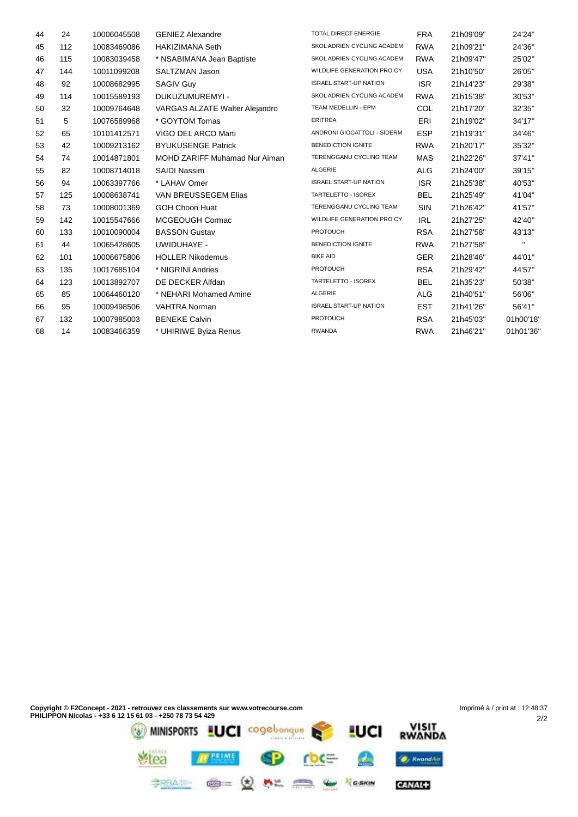| 44 | 24  | 10006045508 | <b>GENIEZ Alexandre</b>        | TOTAL DIRECT ENERGIE          | <b>FRA</b> | 21h09'09" | 24'24"       |
|----|-----|-------------|--------------------------------|-------------------------------|------------|-----------|--------------|
| 45 | 112 | 10083469086 | <b>HAKIZIMANA Seth</b>         | SKOL ADRIEN CYCLING ACADEM    | <b>RWA</b> | 21h09'21" | 24'36"       |
| 46 | 115 | 10083039458 | * NSABIMANA Jean Baptiste      | SKOL ADRIEN CYCLING ACADEM    | <b>RWA</b> | 21h09'47" | 25'02"       |
| 47 | 144 | 10011099208 | SALTZMAN Jason                 | WILDLIFE GENERATION PRO CY    | <b>USA</b> | 21h10'50" | 26'05"       |
| 48 | 92  | 10008682995 | <b>SAGIV Guy</b>               | <b>ISRAEL START-UP NATION</b> | <b>ISR</b> | 21h14'23" | 29'38"       |
| 49 | 114 | 10015589193 | DUKUZUMUREMYI -                | SKOL ADRIEN CYCLING ACADEM    | <b>RWA</b> | 21h15'38" | 30'53"       |
| 50 | 32  | 10009764648 | VARGAS ALZATE Walter Alejandro | TEAM MEDELLIN - EPM           | COL        | 21h17'20" | 32'35"       |
| 51 | 5   | 10076589968 | * GOYTOM Tomas                 | <b>ERITREA</b>                | ERI        | 21h19'02" | 34'17"       |
| 52 | 65  | 10101412571 | VIGO DEL ARCO Marti            | ANDRONI GIOCATTOLI - SIDERM   | <b>ESP</b> | 21h19'31" | 34'46"       |
| 53 | 42  | 10009213162 | <b>BYUKUSENGE Patrick</b>      | <b>BENEDICTION IGNITE</b>     | <b>RWA</b> | 21h20'17" | 35'32"       |
| 54 | 74  | 10014871801 | MOHD ZARIFF Muhamad Nur Aiman  | TERENGGANU CYCLING TEAM       | <b>MAS</b> | 21h22'26" | 37'41"       |
| 55 | 82  | 10008714018 | <b>SAIDI Nassim</b>            | ALGERIE                       | <b>ALG</b> | 21h24'00" | 39'15"       |
| 56 | 94  | 10063397766 | * LAHAV Omer                   | <b>ISRAEL START-UP NATION</b> | <b>ISR</b> | 21h25'38" | 40'53"       |
| 57 | 125 | 10008638741 | VAN BREUSSEGEM Elias           | TARTELETTO - ISOREX           | <b>BEL</b> | 21h25'49" | 41'04"       |
| 58 | 73  | 10008001369 | <b>GOH Choon Huat</b>          | TERENGGANU CYCLING TEAM       | <b>SIN</b> | 21h26'42" | 41'57"       |
| 59 | 142 | 10015547666 | MCGEOUGH Cormac                | WILDLIFE GENERATION PRO CY    | <b>IRL</b> | 21h27'25" | 42'40"       |
| 60 | 133 | 10010090004 | <b>BASSON Gustav</b>           | <b>PROTOUCH</b>               | <b>RSA</b> | 21h27'58" | 43'13"       |
| 61 | 44  | 10065428605 | UWIDUHAYE -                    | <b>BENEDICTION IGNITE</b>     | <b>RWA</b> | 21h27'58" | $\mathbf{H}$ |
| 62 | 101 | 10006675806 | <b>HOLLER Nikodemus</b>        | <b>BIKE AID</b>               | <b>GER</b> | 21h28'46" | 44'01"       |
| 63 | 135 | 10017685104 | * NIGRINI Andries              | <b>PROTOUCH</b>               | <b>RSA</b> | 21h29'42" | 44'57"       |
| 64 | 123 | 10013892707 | DE DECKER Alfdan               | TARTELETTO - ISOREX           | <b>BEL</b> | 21h35'23" | 50'38"       |
| 65 | 85  | 10064460120 | * NEHARI Mohamed Amine         | ALGERIE                       | <b>ALG</b> | 21h40'51" | 56'06"       |
| 66 | 95  | 10009498506 | VAHTRA Norman                  | <b>ISRAEL START-UP NATION</b> | <b>EST</b> | 21h41'26" | 56'41"       |
| 67 | 132 | 10007985003 | <b>BENEKE Calvin</b>           | <b>PROTOUCH</b>               | <b>RSA</b> | 21h45'03" | 01h00'18'    |
| 68 | 14  | 10083466359 | * UHIRIWE Byiza Renus          | <b>RWANDA</b>                 | <b>RWA</b> | 21h46'21" | 01h01'36'    |
|    |     |             |                                |                               |            |           |              |

CANAL+

**BRAIN @= (d) AL CO & Yearn**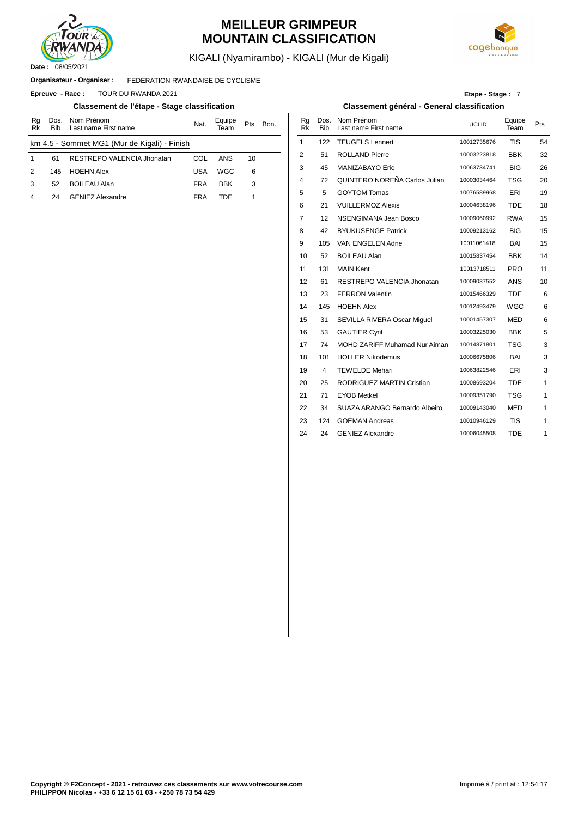

### **MEILLEUR GRIMPEUR MOUNTAIN CLASSIFICATION**



KIGALI (Nyamirambo) - KIGALI (Mur de Kigali)

#### FEDERATION RWANDAISE DE CYCLISME **Organisateur - Organiser :**

**Epreuve - Race : TOUR DU RWANDA 2021** 

#### **Classement de l'étape - Stage classification Classement général - General classification**

| Rg<br>Rk | Dos.<br><b>Bib</b> | Nom Prénom<br>Last name First name           | Nat.       | Equipe<br>Геаm | <b>Pts</b> | Bon. | Rg<br>Rk       | Dos<br><b>Bib</b> |
|----------|--------------------|----------------------------------------------|------------|----------------|------------|------|----------------|-------------------|
|          |                    | km 4.5 - Sommet MG1 (Mur de Kigali) - Finish |            |                |            |      |                | 122               |
|          | 61                 | RESTREPO VALENCIA Jhonatan                   | COL        | ANS            | 10         |      | $\overline{2}$ | 51                |
| 2        | 145                | <b>HOEHN Alex</b>                            | <b>USA</b> | WGC            | 6          |      | 3              | 45                |
| 3        | 52                 | <b>BOILEAU Alan</b>                          | <b>FRA</b> | <b>BBK</b>     | 3          |      | $\overline{4}$ | 72                |
|          | 24                 | <b>GENIEZ Alexandre</b>                      | <b>FRA</b> | TDF            |            |      | 5              | 5                 |
|          |                    |                                              |            |                |            |      | $\sim$         | $\sim$            |

| Etape - Stage: 7 |  |  |  |
|------------------|--|--|--|
|------------------|--|--|--|

| Equipe     |     |      | Rq             | Dos.       | Nom Prénom                    |             | Equipe     |              |
|------------|-----|------|----------------|------------|-------------------------------|-------------|------------|--------------|
| Team       | Pts | Bon. | <b>Rk</b>      | <b>Bib</b> | Last name First name          | UCI ID      | Team       | Pts          |
|            |     |      | $\mathbf{1}$   | 122        | <b>TEUGELS Lennert</b>        | 10012735676 | <b>TIS</b> | 54           |
| ANS        | 10  |      | 2              | 51         | <b>ROLLAND Pierre</b>         | 10003223818 | <b>BBK</b> | 32           |
| WGC        | 6   |      | 3              | 45         | MANIZABAYO Eric               | 10063734741 | <b>BIG</b> | 26           |
| <b>BBK</b> | 3   |      | 4              | 72         | QUINTERO NOREÑA Carlos Julian | 10003034464 | TSG        | 20           |
| <b>TDE</b> | 1   |      | 5              | 5          | <b>GOYTOM Tomas</b>           | 10076589968 | ERI        | 19           |
|            |     |      | 6              | 21         | <b>VUILLERMOZ Alexis</b>      | 10004638196 | <b>TDE</b> | 18           |
|            |     |      | $\overline{7}$ | 12         | NSENGIMANA Jean Bosco         | 10009060992 | <b>RWA</b> | 15           |
|            |     |      | 8              | 42         | <b>BYUKUSENGE Patrick</b>     | 10009213162 | <b>BIG</b> | 15           |
|            |     |      | 9              | 105        | VAN ENGELEN Adne              | 10011061418 | BAI        | 15           |
|            |     |      | 10             | 52         | <b>BOILEAU Alan</b>           | 10015837454 | <b>BBK</b> | 14           |
|            |     |      | 11             | 131        | <b>MAIN Kent</b>              | 10013718511 | <b>PRO</b> | 11           |
|            |     |      | 12             | 61         | RESTREPO VALENCIA Jhonatan    | 10009037552 | <b>ANS</b> | 10           |
|            |     |      | 13             | 23         | <b>FERRON Valentin</b>        | 10015466329 | <b>TDE</b> | 6            |
|            |     |      | 14             | 145        | <b>HOEHN Alex</b>             | 10012493479 | WGC        | 6            |
|            |     |      | 15             | 31         | SEVILLA RIVERA Oscar Miquel   | 10001457307 | MED        | 6            |
|            |     |      | 16             | 53         | <b>GAUTIER Cyril</b>          | 10003225030 | <b>BBK</b> | 5            |
|            |     |      | 17             | 74         | MOHD ZARIFF Muhamad Nur Aiman | 10014871801 | <b>TSG</b> | 3            |
|            |     |      | 18             | 101        | <b>HOLLER Nikodemus</b>       | 10006675806 | BAI        | 3            |
|            |     |      | 19             | 4          | <b>TEWELDE Mehari</b>         | 10063822546 | ERI        | 3            |
|            |     |      | 20             | 25         | RODRIGUEZ MARTIN Cristian     | 10008693204 | <b>TDE</b> | $\mathbf{1}$ |
|            |     |      | 21             | 71         | <b>EYOB Metkel</b>            | 10009351790 | <b>TSG</b> | 1            |
|            |     |      | 22             | 34         | SUAZA ARANGO Bernardo Albeiro | 10009143040 | <b>MED</b> | 1            |
|            |     |      | 23             | 124        | <b>GOEMAN Andreas</b>         | 10010946129 | <b>TIS</b> | 1            |
|            |     |      | 24             | 24         | <b>GENIEZ Alexandre</b>       | 10006045508 | TDE        | 1            |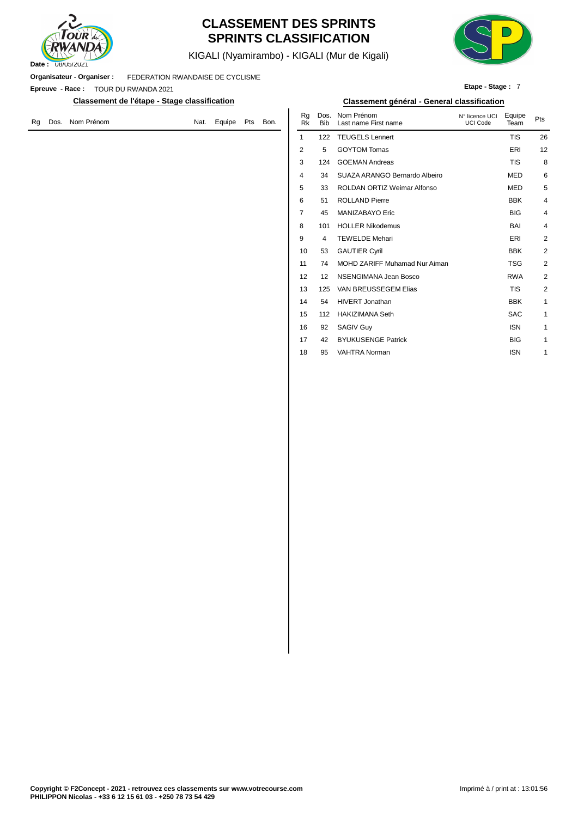

### **CLASSEMENT DES SPRINTS SPRINTS CLASSIFICATION**

KIGALI (Nyamirambo) - KIGALI (Mur de Kigali)



**Etape - Stage :** 7

**Organisateur - Organiser :** FEDERATION RWANDAISE DE CYCLISME

**Epreuve - Race :** TOUR DU RWANDA 2021

**Classement de l'étape - Stage classification Classement général - General classification**

|  | Rg Dos. Nom Prénom | Nat. | Equipe Pts Bon. |  | ny vos<br><b>Rk</b> | Bib |
|--|--------------------|------|-----------------|--|---------------------|-----|
|  |                    |      |                 |  |                     | 122 |

|      | ıssification |     |      |                 |                    | Classement général - General classification |                                   |                |                |
|------|--------------|-----|------|-----------------|--------------------|---------------------------------------------|-----------------------------------|----------------|----------------|
| Nat. | Equipe       | Pts | Bon. | Rg<br><b>Rk</b> | Dos.<br><b>Bib</b> | Nom Prénom<br>Last name First name          | N° licence UCI<br><b>UCI Code</b> | Equipe<br>Team | Pts            |
|      |              |     |      | $\mathbf{1}$    | 122                | <b>TEUGELS Lennert</b>                      |                                   | <b>TIS</b>     | 26             |
|      |              |     |      | $\overline{2}$  | 5                  | <b>GOYTOM Tomas</b>                         |                                   | ERI            | 12             |
|      |              |     |      | 3               | 124                | <b>GOEMAN Andreas</b>                       |                                   | <b>TIS</b>     | 8              |
|      |              |     |      | $\overline{4}$  | 34                 | SUAZA ARANGO Bernardo Albeiro               |                                   | <b>MED</b>     | 6              |
|      |              |     |      | 5               | 33                 | ROLDAN ORTIZ Weimar Alfonso                 |                                   | <b>MED</b>     | 5              |
|      |              |     |      | 6               | 51                 | <b>ROLLAND Pierre</b>                       |                                   | <b>BBK</b>     | 4              |
|      |              |     |      | $\overline{7}$  | 45                 | <b>MANIZABAYO Eric</b>                      |                                   | <b>BIG</b>     | $\overline{4}$ |
|      |              |     |      | 8               | 101                | <b>HOLLER Nikodemus</b>                     |                                   | BAI            | 4              |
|      |              |     |      | 9               | 4                  | <b>TEWELDE Mehari</b>                       |                                   | ERI            | $\overline{2}$ |
|      |              |     |      | 10              | 53                 | <b>GAUTIER Cyril</b>                        |                                   | <b>BBK</b>     | $\overline{2}$ |
|      |              |     |      | 11              | 74                 | MOHD ZARIFF Muhamad Nur Aiman               |                                   | <b>TSG</b>     | $\overline{2}$ |
|      |              |     |      | 12              | 12                 | NSENGIMANA Jean Bosco                       |                                   | <b>RWA</b>     | $\overline{2}$ |
|      |              |     |      | 13              | 125                | VAN BREUSSEGEM Elias                        |                                   | <b>TIS</b>     | $\overline{2}$ |
|      |              |     |      | 14              | 54                 | <b>HIVERT Jonathan</b>                      |                                   | <b>BBK</b>     | 1              |
|      |              |     |      | 15              | 112                | <b>HAKIZIMANA Seth</b>                      |                                   | <b>SAC</b>     | 1              |
|      |              |     |      | 16              | 92                 | <b>SAGIV Guy</b>                            |                                   | <b>ISN</b>     | 1              |
|      |              |     |      | 17              | 42                 | <b>BYUKUSENGE Patrick</b>                   |                                   | <b>BIG</b>     | 1              |
|      |              |     |      | 18              | 95                 | <b>VAHTRA Norman</b>                        |                                   | <b>ISN</b>     | 1              |
|      |              |     |      |                 |                    |                                             |                                   |                |                |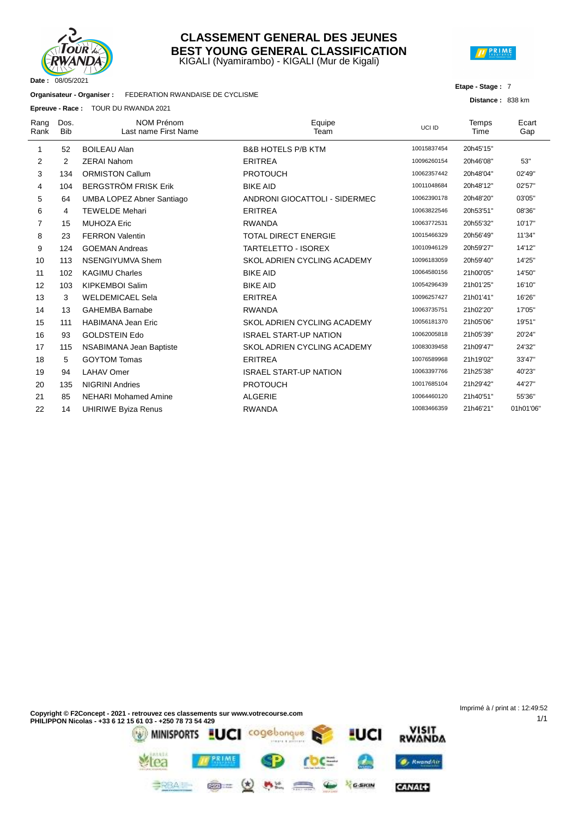

#### KIGALI (Nyamirambo) - KIGALI (Mur de Kigali) **CLASSEMENT GENERAL DES JEUNES BEST YOUNG GENERAL CLASSIFICATION**



#### **Etape - Stage :** 7

**Distance :** 838 km

1/1

**Organisateur - Organiser :** FEDERATION RWANDAISE DE CYCLISME

**Epreuve - Race :** TOUR DU RWANDA 2021

|                |                    | <b>Epreuve - Race :</b> IOUR DU RWANDA 2021 |                               |             |                      |              |
|----------------|--------------------|---------------------------------------------|-------------------------------|-------------|----------------------|--------------|
| Rang<br>Rank   | Dos.<br><b>Bib</b> | <b>NOM Prénom</b><br>Last name First Name   | Equipe<br>Team                | UCI ID      | <b>Temps</b><br>Time | Ecart<br>Gap |
| 1              | 52                 | <b>BOILEAU Alan</b>                         | <b>B&amp;B HOTELS P/B KTM</b> | 10015837454 | 20h45'15"            |              |
| 2              | 2                  | <b>ZERAI Nahom</b>                          | <b>ERITREA</b>                | 10096260154 | 20h46'08"            | 53"          |
| 3              | 134                | <b>ORMISTON Callum</b>                      | <b>PROTOUCH</b>               | 10062357442 | 20h48'04"            | 02'49"       |
| 4              | 104                | <b>BERGSTRÖM FRISK Erik</b>                 | <b>BIKE AID</b>               | 10011048684 | 20h48'12"            | 02'57"       |
| 5              | 64                 | <b>UMBA LOPEZ Abner Santiago</b>            | ANDRONI GIOCATTOLI - SIDERMEC | 10062390178 | 20h48'20"            | 03'05"       |
| 6              | 4                  | <b>TEWELDE Mehari</b>                       | <b>ERITREA</b>                | 10063822546 | 20h53'51"            | 08'36"       |
| $\overline{7}$ | 15                 | <b>MUHOZA Eric</b>                          | <b>RWANDA</b>                 | 10063772531 | 20h55'32"            | 10'17"       |
| 8              | 23                 | <b>FERRON Valentin</b>                      | <b>TOTAL DIRECT ENERGIE</b>   | 10015466329 | 20h56'49"            | 11'34"       |
| 9              | 124                | <b>GOEMAN Andreas</b>                       | <b>TARTELETTO - ISOREX</b>    | 10010946129 | 20h59'27"            | 14'12"       |
| 10             | 113                | NSENGIYUMVA Shem                            | SKOL ADRIEN CYCLING ACADEMY   | 10096183059 | 20h59'40"            | 14'25"       |
| 11             | 102                | <b>KAGIMU Charles</b>                       | <b>BIKE AID</b>               | 10064580156 | 21h00'05"            | 14'50"       |
| 12             | 103                | <b>KIPKEMBOI Salim</b>                      | <b>BIKE AID</b>               | 10054296439 | 21h01'25"            | 16'10"       |
| 13             | 3                  | <b>WELDEMICAEL Sela</b>                     | <b>ERITREA</b>                | 10096257427 | 21h01'41"            | 16'26"       |
| 14             | 13                 | <b>GAHEMBA Barnabe</b>                      | <b>RWANDA</b>                 | 10063735751 | 21h02'20"            | 17'05"       |
| 15             | 111                | <b>HABIMANA Jean Eric</b>                   | SKOL ADRIEN CYCLING ACADEMY   | 10056181370 | 21h05'06"            | 19'51"       |
| 16             | 93                 | <b>GOLDSTEIN Edo</b>                        | <b>ISRAEL START-UP NATION</b> | 10062005818 | 21h05'39"            | 20'24"       |
| 17             | 115                | NSABIMANA Jean Baptiste                     | SKOL ADRIEN CYCLING ACADEMY   | 10083039458 | 21h09'47"            | 24'32"       |
| 18             | 5                  | <b>GOYTOM Tomas</b>                         | <b>ERITREA</b>                | 10076589968 | 21h19'02"            | 33'47"       |
| 19             | 94                 | <b>LAHAV Omer</b>                           | <b>ISRAEL START-UP NATION</b> | 10063397766 | 21h25'38"            | 40'23"       |
| 20             | 135                | <b>NIGRINI Andries</b>                      | <b>PROTOUCH</b>               | 10017685104 | 21h29'42"            | 44'27"       |
| 21             | 85                 | <b>NEHARI Mohamed Amine</b>                 | <b>ALGERIE</b>                | 10064460120 | 21h40'51"            | 55'36"       |
| 22             | 14                 | <b>UHIRIWE Byiza Renus</b>                  | <b>RWANDA</b>                 | 10083466359 | 21h46'21"            | 01h01'06"    |

Imprimé à / print at : 12:49:52**Copyright © F2Concept - 2021 - retrouvez ces classements sur www.votrecourse.com PHILIPPON Nicolas - +33 6 12 15 61 03 - +250 78 73 54 429** VISIT<br>RWANDA cogebonque MINISPORTS **LUCI** UCI PRIME **O**, KwandAir rea

漂

 $M_{\rm{max}}$ 

GARIN

CANAL+

**BRBAIL** 

 $\circledast$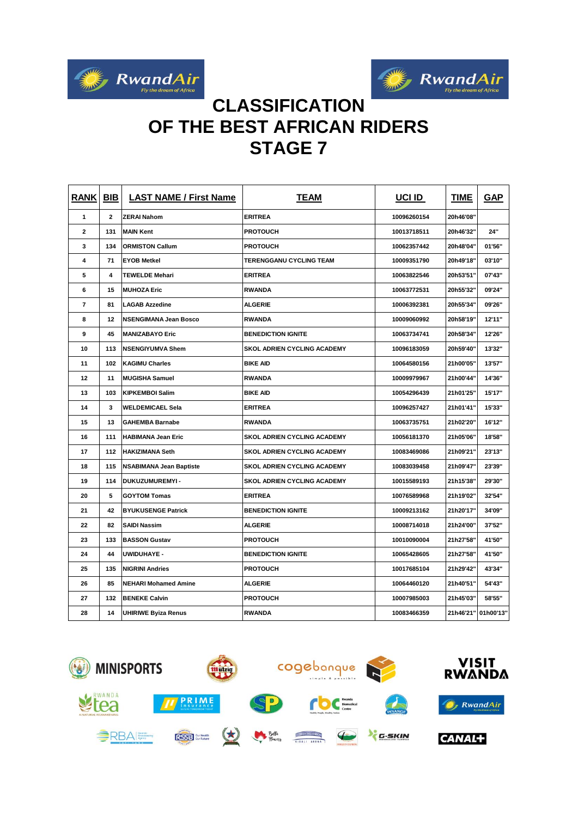



# **CLASSIFICATION OF THE BEST AFRICAN RIDERS STAGE 7**

| <b>RANK</b> | <b>BIB</b> | <b>LAST NAME / First Name</b>  | <b>TEAM</b>                        | <b>UCI ID</b> | <b>TIME</b> | <b>GAP</b> |
|-------------|------------|--------------------------------|------------------------------------|---------------|-------------|------------|
| 1           | 2          | <b>ZERAI Nahom</b>             | <b>ERITREA</b>                     | 10096260154   | 20h46'08"   |            |
| 2           | 131        | <b>MAIN Kent</b>               | <b>PROTOUCH</b>                    | 10013718511   | 20h46'32"   | 24"        |
| 3           | 134        | <b>ORMISTON Callum</b>         | <b>PROTOUCH</b>                    | 10062357442   | 20h48'04"   | 01'56"     |
| 4           | 71         | <b>EYOB Metkel</b>             | TERENGGANU CYCLING TEAM            | 10009351790   | 20h49'18"   | 03'10"     |
| 5           | 4          | <b>TEWELDE Mehari</b>          | <b>ERITREA</b>                     | 10063822546   | 20h53'51"   | 07'43"     |
| 6           | 15         | <b>MUHOZA Eric</b>             | <b>RWANDA</b>                      | 10063772531   | 20h55'32"   | 09'24"     |
| 7           | 81         | <b>LAGAB Azzedine</b>          | ALGERIE                            | 10006392381   | 20h55'34"   | 09'26"     |
| 8           | 12         | <b>NSENGIMANA Jean Bosco</b>   | <b>RWANDA</b>                      | 10009060992   | 20h58'19"   | 12'11"     |
| 9           | 45         | <b>MANIZABAYO Eric</b>         | <b>BENEDICTION IGNITE</b>          | 10063734741   | 20h58'34"   | 12'26"     |
| 10          | 113        | <b>NSENGIYUMVA Shem</b>        | <b>SKOL ADRIEN CYCLING ACADEMY</b> | 10096183059   | 20h59'40"   | 13'32"     |
| 11          | 102        | <b>KAGIMU Charles</b>          | <b>BIKE AID</b>                    | 10064580156   | 21h00'05"   | 13'57"     |
| 12          | 11         | <b>MUGISHA Samuel</b>          | <b>RWANDA</b>                      | 10009979967   | 21h00'44"   | 14'36"     |
| 13          | 103        | <b>KIPKEMBOI Salim</b>         | <b>BIKE AID</b>                    | 10054296439   | 21h01'25"   | 15'17"     |
| 14          | 3          | <b>WELDEMICAEL Sela</b>        | <b>ERITREA</b>                     | 10096257427   | 21h01'41"   | 15'33"     |
| 15          | 13         | <b>GAHEMBA Barnabe</b>         | <b>RWANDA</b>                      | 10063735751   | 21h02'20"   | 16'12"     |
| 16          | 111        | <b>HABIMANA Jean Eric</b>      | <b>SKOL ADRIEN CYCLING ACADEMY</b> | 10056181370   | 21h05'06"   | 18'58"     |
| 17          | 112        | <b>HAKIZIMANA Seth</b>         | <b>SKOL ADRIEN CYCLING ACADEMY</b> | 10083469086   | 21h09'21"   | 23'13"     |
| 18          | 115        | <b>NSABIMANA Jean Baptiste</b> | <b>SKOL ADRIEN CYCLING ACADEMY</b> | 10083039458   | 21h09'47"   | 23'39"     |
| 19          | 114        | DUKUZUMUREMYI-                 | <b>SKOL ADRIEN CYCLING ACADEMY</b> | 10015589193   | 21h15'38"   | 29'30"     |
| 20          | 5          | <b>GOYTOM Tomas</b>            | <b>ERITREA</b>                     | 10076589968   | 21h19'02"   | 32'54"     |
| 21          | 42         | <b>BYUKUSENGE Patrick</b>      | <b>BENEDICTION IGNITE</b>          | 10009213162   | 21h20'17"   | 34'09"     |
| 22          | 82         | <b>SAIDI Nassim</b>            | <b>ALGERIE</b>                     | 10008714018   | 21h24'00"   | 37'52"     |
| 23          | 133        | <b>BASSON Gustav</b>           | <b>PROTOUCH</b>                    | 10010090004   | 21h27'58"   | 41'50"     |
| 24          | 44         | <b>UWIDUHAYE -</b>             | <b>BENEDICTION IGNITE</b>          | 10065428605   | 21h27'58"   | 41'50"     |
| 25          | 135        | <b>NIGRINI Andries</b>         | <b>PROTOUCH</b>                    | 10017685104   | 21h29'42"   | 43'34"     |
| 26          | 85         | <b>NEHARI Mohamed Amine</b>    | ALGERIE                            | 10064460120   | 21h40'51"   | 54'43"     |
| 27          | 132        | <b>BENEKE Calvin</b>           | <b>PROTOUCH</b>                    | 10007985003   | 21h45'03"   | 58'55"     |
| 28          | 14         | <b>UHIRIWE Byiza Renus</b>     | <b>RWANDA</b>                      | 10083466359   | 21h46'21"   | 01h00'13"  |

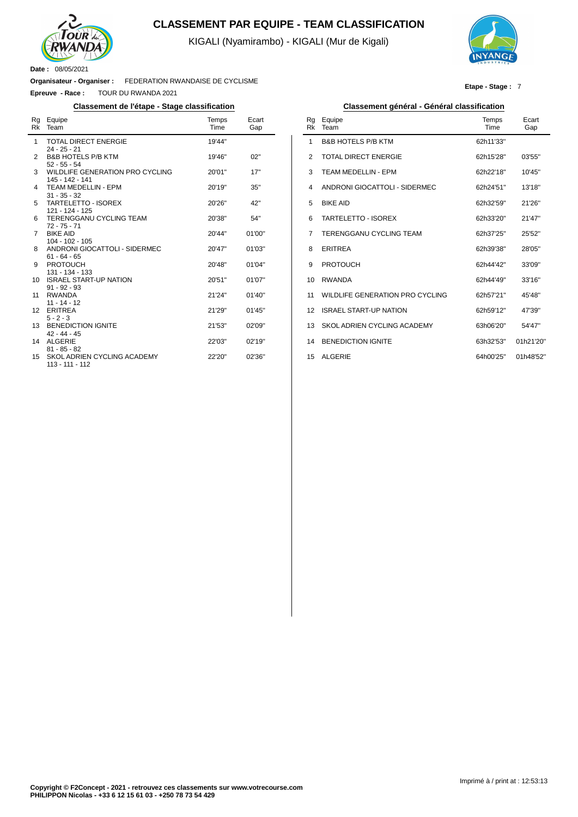

### **CLASSEMENT PAR EQUIPE - TEAM CLASSIFICATION**

KIGALI (Nyamirambo) - KIGALI (Mur de Kigali)



**Etape - Stage :** 7

#### **Organisateur - Organiser :** FEDERATION RWANDAISE DE CYCLISME

**Epreuve - Race :** TOUR DU RWANDA 2021

| Rg<br>Rk | Equipe<br>Team                                     | Temps<br>Time | Ecart<br>Gap |
|----------|----------------------------------------------------|---------------|--------------|
| 1        | <b>TOTAL DIRECT ENERGIE</b><br>$24 - 25 - 21$      | 19'44"        |              |
| 2        | <b>B&amp;B HOTELS P/B KTM</b><br>$52 - 55 - 54$    | 19'46"        | 02"          |
| 3        | WILDLIFE GENERATION PRO CYCLING<br>145 - 142 - 141 | 20'01"        | 17"          |
| 4        | <b>TEAM MEDELLIN - EPM</b><br>$31 - 35 - 32$       | 20'19"        | 35"          |
| 5        | TARTELETTO - ISOREX<br>121 - 124 - 125             | 20'26"        | 42"          |
| 6        | <b>TERENGGANU CYCLING TEAM</b><br>$72 - 75 - 71$   | 20'38"        | 54"          |
| 7        | <b>BIKE AID</b><br>104 - 102 - 105                 | 20'44"        | 01'00"       |
| 8        | ANDRONI GIOCATTOLI - SIDERMEC<br>$61 - 64 - 65$    | 20'47"        | 01'03"       |
| 9        | <b>PROTOUCH</b><br>131 - 134 - 133                 | 20'48"        | 01'04"       |
| 10       | <b>ISRAEL START-UP NATION</b><br>$91 - 92 - 93$    | 20'51"        | 01'07"       |
| 11       | <b>RWANDA</b><br>$11 - 14 - 12$                    | 21'24"        | 01'40"       |
| 12       | <b>ERITREA</b><br>$5 - 2 - 3$                      | 21'29"        | 01'45"       |
| 13       | <b>BENEDICTION IGNITE</b><br>$42 - 44 - 45$        | 21'53"        | 02'09"       |
| 14       | <b>ALGERIE</b><br>$81 - 85 - 82$                   | 22'03"        | 02'19"       |
| 15       | SKOL ADRIEN CYCLING ACADEMY<br>113 - 111 - 112     | 22'20"        | 02'36"       |

#### **Classement de l'étape - Stage classification Classement général - Général classification**

| Rg<br>Rk       | Equipe<br>Team                  | Temps<br>Time | Ecart<br>Gap |
|----------------|---------------------------------|---------------|--------------|
| 1              | <b>B&amp;B HOTELS P/B KTM</b>   | 62h11'33"     |              |
| $\overline{2}$ | TOTAL DIRECT ENERGIE            | 62h15'28"     | 03'55"       |
| 3              | <b>TEAM MEDELLIN - EPM</b>      | 62h22'18"     | 10'45"       |
| $\overline{4}$ | ANDRONI GIOCATTOLI - SIDERMEC   | 62h24'51"     | 13'18"       |
| 5              | <b>BIKE AID</b>                 | 62h32'59"     | 21'26"       |
| 6              | TARTELETTO - ISOREX             | 62h33'20"     | 21'47"       |
| 7              | <b>TERENGGANU CYCLING TEAM</b>  | 62h37'25"     | 25'52"       |
| 8              | <b>ERITREA</b>                  | 62h39'38"     | 28'05"       |
| 9              | <b>PROTOUCH</b>                 | 62h44'42"     | 33'09"       |
| 10             | <b>RWANDA</b>                   | 62h44'49"     | 33'16"       |
| 11             | WILDLIFE GENERATION PRO CYCLING | 62h57'21"     | 45'48"       |
| 12             | <b>ISRAEL START-UP NATION</b>   | 62h59'12"     | 47'39"       |
| 13             | SKOL ADRIEN CYCLING ACADEMY     | 63h06'20"     | 54'47"       |
| 14             | <b>BENEDICTION IGNITE</b>       | 63h32'53"     | 01h21'20"    |
| 15             | <b>ALGERIE</b>                  | 64h00'25"     | 01h48'52"    |
|                |                                 |               |              |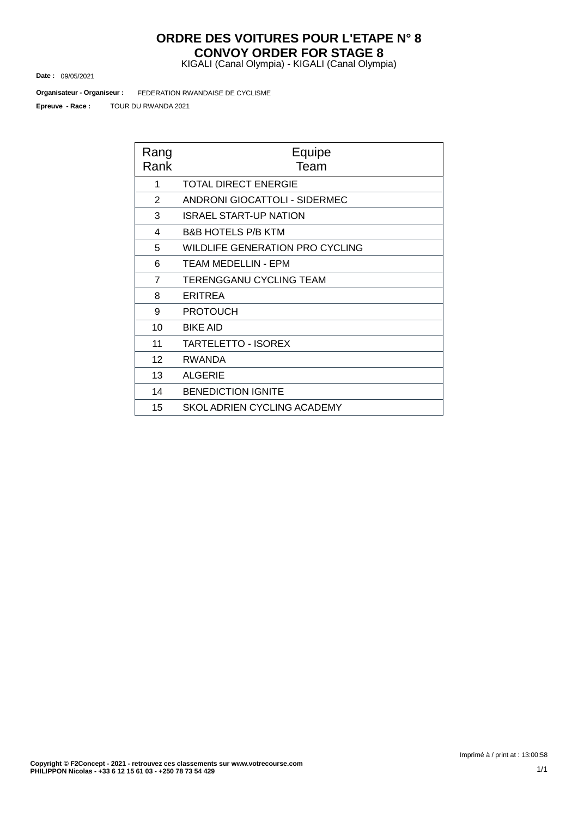### **ORDRE DES VOITURES POUR L'ETAPE N° 8 CONVOY ORDER FOR STAGE 8**

KIGALI (Canal Olympia) - KIGALI (Canal Olympia)

09/05/2021 **Date :**

FEDERATION RWANDAISE DE CYCLISME **Organisateur - Organiseur :**

TOUR DU RWANDA 2021 **Epreuve - Race :**

| Rang<br>Rank   | Equipe<br>Team                         |  |  |  |  |  |  |
|----------------|----------------------------------------|--|--|--|--|--|--|
| 1              | <b>TOTAL DIRECT ENERGIE</b>            |  |  |  |  |  |  |
| 2              | ANDRONI GIOCATTOLI - SIDERMEC          |  |  |  |  |  |  |
| 3              | <b>ISRAEL START-UP NATION</b>          |  |  |  |  |  |  |
| 4              | <b>B&amp;B HOTELS P/B KTM</b>          |  |  |  |  |  |  |
| 5              | <b>WILDLIFE GENERATION PRO CYCLING</b> |  |  |  |  |  |  |
| 6              | TEAM MEDELLIN - EPM                    |  |  |  |  |  |  |
| $\overline{7}$ | <b>TERENGGANU CYCLING TEAM</b>         |  |  |  |  |  |  |
| 8              | <b>ERITREA</b>                         |  |  |  |  |  |  |
| 9              | <b>PROTOUCH</b>                        |  |  |  |  |  |  |
| 10             | <b>BIKE AID</b>                        |  |  |  |  |  |  |
| 11             | <b>TARTELETTO - ISOREX</b>             |  |  |  |  |  |  |
| 12             | <b>RWANDA</b>                          |  |  |  |  |  |  |
| 13             | <b>ALGERIE</b>                         |  |  |  |  |  |  |
| 14             | <b>BENEDICTION IGNITE</b>              |  |  |  |  |  |  |
| 15             | SKOL ADRIEN CYCLING ACADEMY            |  |  |  |  |  |  |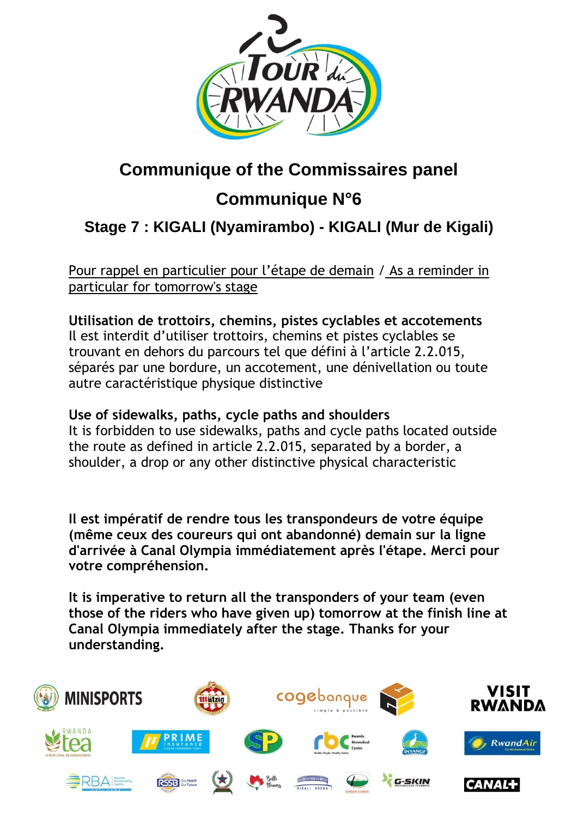

# **Communique of the Commissaires panel**

# **Communique N°6**

# **Stage 7 : KIGALI [\(Nyamirambo\)](https://www.procyclingstats.com/race/tour-of-turkey/2021/stage-1) - KIGALI (Mur de Kigali)**

Pour rappel en particulier pour l'étape de demain / As a reminder in particular for tomorrow's stage

**Utilisation de trottoirs, chemins, pistes cyclables et accotements** Il est interdit d'utiliser trottoirs, chemins et pistes cyclables se trouvant en dehors du parcours tel que défini à l'article 2.2.015, séparés par une bordure, un accotement, une dénivellation ou toute autre caractéristique physique distinctive

## **Use of sidewalks, paths, cycle paths and shoulders**

It is forbidden to use sidewalks, paths and cycle paths located outside the route as defined in article 2.2.015, separated by a border, a shoulder, a drop or any other distinctive physical characteristic

**Il est impératif de rendre tous les transpondeurs de votre équipe (même ceux des coureurs qui ont abandonné) demain sur la ligne d'arrivée à Canal Olympia immédiatement après l'étape. Merci pour votre compréhension.**

**It is imperative to return all the transponders of your team (even those of the riders who have given up) tomorrow at the finish line at Canal Olympia immediately after the stage. Thanks for your understanding.**